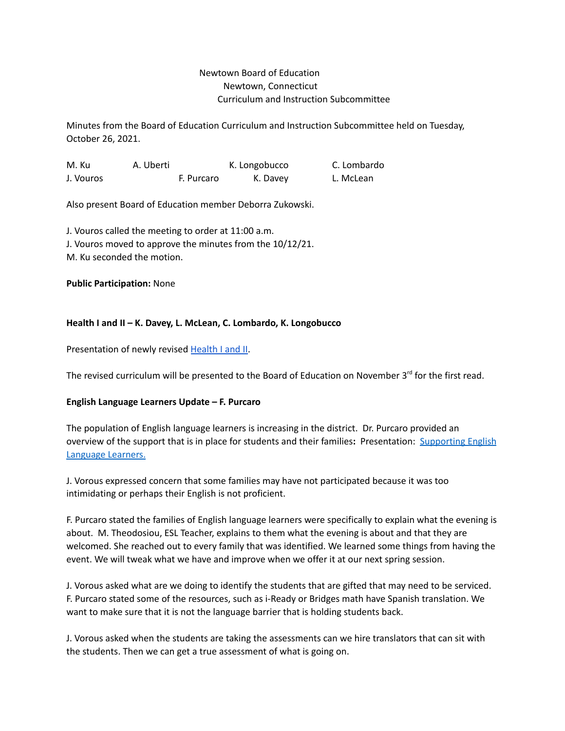## Newtown Board of Education Newtown, Connecticut Curriculum and Instruction Subcommittee

Minutes from the Board of Education Curriculum and Instruction Subcommittee held on Tuesday, October 26, 2021.

M. Ku A. Uberti K. Longobucco C. Lombardo J. Vouros **F. Purcaro** K. Davey L. McLean

Also present Board of Education member Deborra Zukowski.

J. Vouros called the meeting to order at 11:00 a.m. J. Vouros moved to approve the minutes from the 10/12/21. M. Ku seconded the motion.

#### **Public Participation:** None

#### **Health I and II – K. Davey, L. McLean, C. Lombardo, K. Longobucco**

Presentation of newly revised [Health](https://drive.google.com/file/d/1Es_Ia4DJEbQoE1x8M8uNAs4Y-ub0gI60/view?usp=sharing) I and II.

The revised curriculum will be presented to the Board of Education on November 3<sup>rd</sup> for the first read.

#### **English Language Learners Update – F. Purcaro**

The population of English language learners is increasing in the district. Dr. Purcaro provided an overview of the support that is in place for students and their families**:** Presentation: [Supporting](https://drive.google.com/file/d/1lsIF-zr5UfurA8ytC_RstjZ0b9wofsQ-/view?usp=drive_web) English [Language](https://drive.google.com/file/d/1lsIF-zr5UfurA8ytC_RstjZ0b9wofsQ-/view?usp=drive_web) Learners.

J. Vorous expressed concern that some families may have not participated because it was too intimidating or perhaps their English is not proficient.

F. Purcaro stated the families of English language learners were specifically to explain what the evening is about. M. Theodosiou, ESL Teacher, explains to them what the evening is about and that they are welcomed. She reached out to every family that was identified. We learned some things from having the event. We will tweak what we have and improve when we offer it at our next spring session.

J. Vorous asked what are we doing to identify the students that are gifted that may need to be serviced. F. Purcaro stated some of the resources, such as i-Ready or Bridges math have Spanish translation. We want to make sure that it is not the language barrier that is holding students back.

J. Vorous asked when the students are taking the assessments can we hire translators that can sit with the students. Then we can get a true assessment of what is going on.